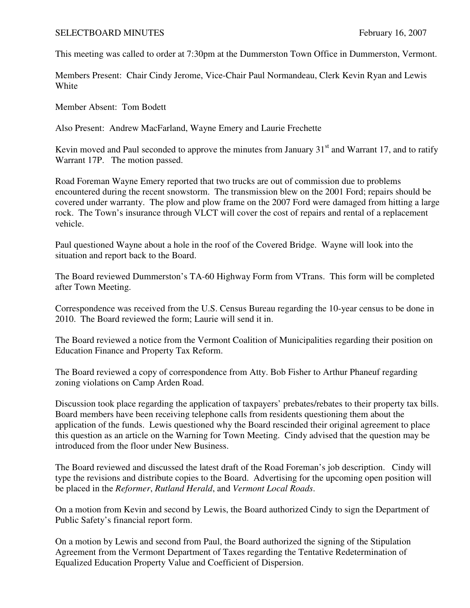## SELECTBOARD MINUTES February 16, 2007

This meeting was called to order at 7:30pm at the Dummerston Town Office in Dummerston, Vermont.

Members Present: Chair Cindy Jerome, Vice-Chair Paul Normandeau, Clerk Kevin Ryan and Lewis **White** 

Member Absent: Tom Bodett

Also Present: Andrew MacFarland, Wayne Emery and Laurie Frechette

Kevin moved and Paul seconded to approve the minutes from January  $31<sup>st</sup>$  and Warrant 17, and to ratify Warrant 17P. The motion passed.

Road Foreman Wayne Emery reported that two trucks are out of commission due to problems encountered during the recent snowstorm. The transmission blew on the 2001 Ford; repairs should be covered under warranty. The plow and plow frame on the 2007 Ford were damaged from hitting a large rock. The Town's insurance through VLCT will cover the cost of repairs and rental of a replacement vehicle.

Paul questioned Wayne about a hole in the roof of the Covered Bridge. Wayne will look into the situation and report back to the Board.

The Board reviewed Dummerston's TA-60 Highway Form from VTrans. This form will be completed after Town Meeting.

Correspondence was received from the U.S. Census Bureau regarding the 10-year census to be done in 2010. The Board reviewed the form; Laurie will send it in.

The Board reviewed a notice from the Vermont Coalition of Municipalities regarding their position on Education Finance and Property Tax Reform.

The Board reviewed a copy of correspondence from Atty. Bob Fisher to Arthur Phaneuf regarding zoning violations on Camp Arden Road.

Discussion took place regarding the application of taxpayers' prebates/rebates to their property tax bills. Board members have been receiving telephone calls from residents questioning them about the application of the funds. Lewis questioned why the Board rescinded their original agreement to place this question as an article on the Warning for Town Meeting. Cindy advised that the question may be introduced from the floor under New Business.

The Board reviewed and discussed the latest draft of the Road Foreman's job description. Cindy will type the revisions and distribute copies to the Board. Advertising for the upcoming open position will be placed in the *Reformer*, *Rutland Herald*, and *Vermont Local Roads*.

On a motion from Kevin and second by Lewis, the Board authorized Cindy to sign the Department of Public Safety's financial report form.

On a motion by Lewis and second from Paul, the Board authorized the signing of the Stipulation Agreement from the Vermont Department of Taxes regarding the Tentative Redetermination of Equalized Education Property Value and Coefficient of Dispersion.